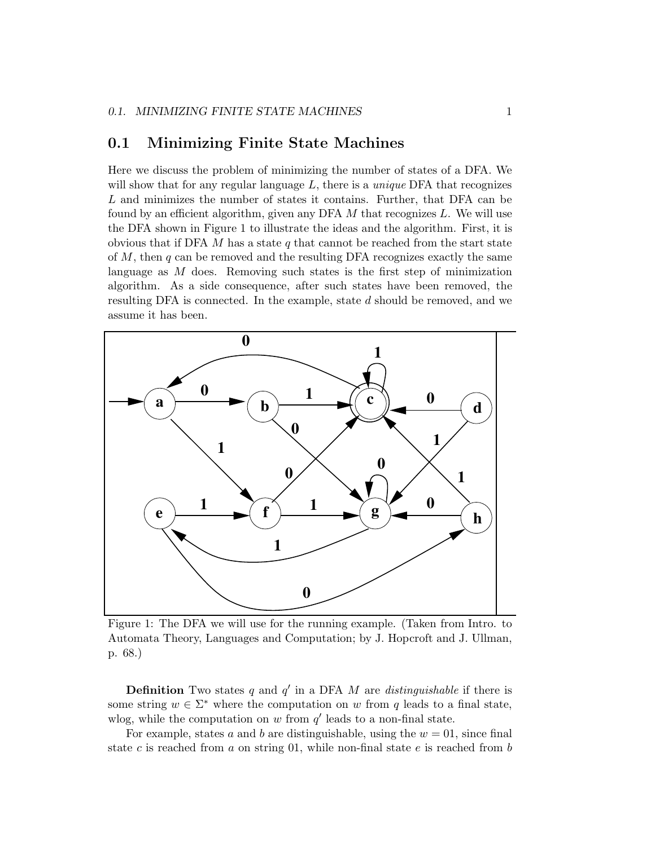## 0.1 Minimizing Finite State Machines

Here we discuss the problem of minimizing the number of states of a DFA. We will show that for any regular language  $L$ , there is a *unique* DFA that recognizes L and minimizes the number of states it contains. Further, that DFA can be found by an efficient algorithm, given any DFA  $M$  that recognizes  $L$ . We will use the DFA shown in Figure 1 to illustrate the ideas and the algorithm. First, it is obvious that if DFA M has a state q that cannot be reached from the start state of  $M$ , then  $q$  can be removed and the resulting DFA recognizes exactly the same language as M does. Removing such states is the first step of minimization algorithm. As a side consequence, after such states have been removed, the resulting DFA is connected. In the example, state d should be removed, and we assume it has been.



Figure 1: The DFA we will use for the running example. (Taken from Intro. to Automata Theory, Languages and Computation; by J. Hopcroft and J. Ullman, p. 68.)

**Definition** Two states q and  $q'$  in a DFA M are distinguishable if there is some string  $w \in \Sigma^*$  where the computation on w from q leads to a final state, wlog, while the computation on w from  $q'$  leads to a non-final state.

For example, states a and b are distinguishable, using the  $w = 01$ , since final state c is reached from a on string 01, while non-final state e is reached from b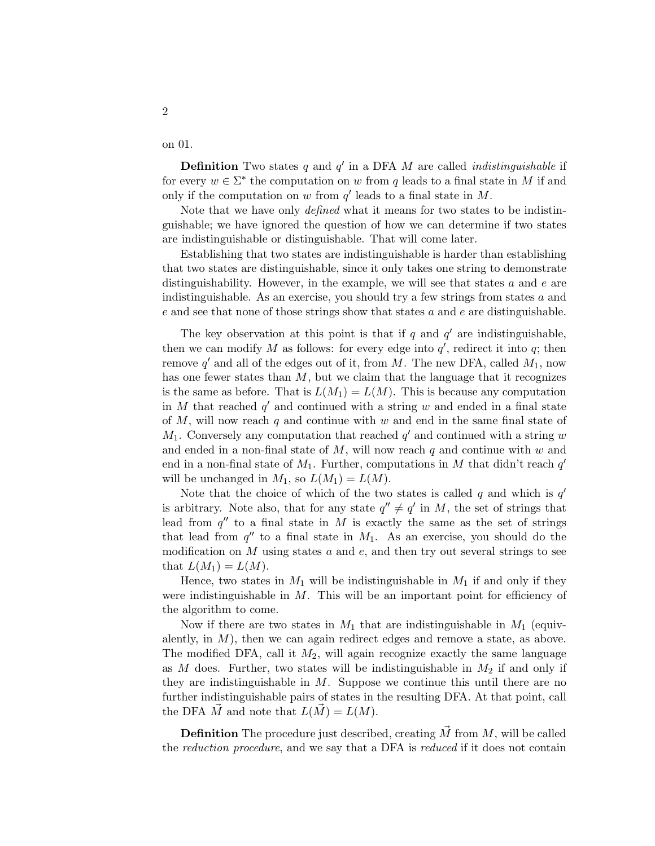on 01.

2

**Definition** Two states q and  $q'$  in a DFA M are called *indistinguishable* if for every  $w \in \Sigma^*$  the computation on w from q leads to a final state in M if and only if the computation on w from  $q'$  leads to a final state in M.

Note that we have only defined what it means for two states to be indistinguishable; we have ignored the question of how we can determine if two states are indistinguishable or distinguishable. That will come later.

Establishing that two states are indistinguishable is harder than establishing that two states are distinguishable, since it only takes one string to demonstrate distinguishability. However, in the example, we will see that states  $a$  and  $e$  are indistinguishable. As an exercise, you should try a few strings from states  $a$  and  $e$  and see that none of those strings show that states  $a$  and  $e$  are distinguishable.

The key observation at this point is that if q and  $q'$  are indistinguishable, then we can modify M as follows: for every edge into  $q'$ , redirect it into q; then remove  $q'$  and all of the edges out of it, from M. The new DFA, called  $M_1$ , now has one fewer states than  $M$ , but we claim that the language that it recognizes is the same as before. That is  $L(M_1) = L(M)$ . This is because any computation in M that reached  $q'$  and continued with a string w and ended in a final state of  $M$ , will now reach  $q$  and continue with  $w$  and end in the same final state of  $M_1$ . Conversely any computation that reached q' and continued with a string w and ended in a non-final state of  $M$ , will now reach q and continue with  $w$  and end in a non-final state of  $M_1$ . Further, computations in M that didn't reach q' will be unchanged in  $M_1$ , so  $L(M_1) = L(M)$ .

Note that the choice of which of the two states is called q and which is  $q'$ is arbitrary. Note also, that for any state  $q'' \neq q'$  in M, the set of strings that lead from  $q''$  to a final state in M is exactly the same as the set of strings that lead from  $q''$  to a final state in  $M_1$ . As an exercise, you should do the modification on  $M$  using states  $a$  and  $e$ , and then try out several strings to see that  $L(M_1) = L(M)$ .

Hence, two states in  $M_1$  will be indistinguishable in  $M_1$  if and only if they were indistinguishable in  $M$ . This will be an important point for efficiency of the algorithm to come.

Now if there are two states in  $M_1$  that are indistinguishable in  $M_1$  (equivalently, in  $M$ ), then we can again redirect edges and remove a state, as above. The modified DFA, call it  $M_2$ , will again recognize exactly the same language as M does. Further, two states will be indistinguishable in  $M_2$  if and only if they are indistinguishable in  $M$ . Suppose we continue this until there are no further indistinguishable pairs of states in the resulting DFA. At that point, call the DFA  $\vec{M}$  and note that  $L(\vec{M}) = L(M)$ .

**Definition** The procedure just described, creating  $\vec{M}$  from  $M$ , will be called the reduction procedure, and we say that a DFA is reduced if it does not contain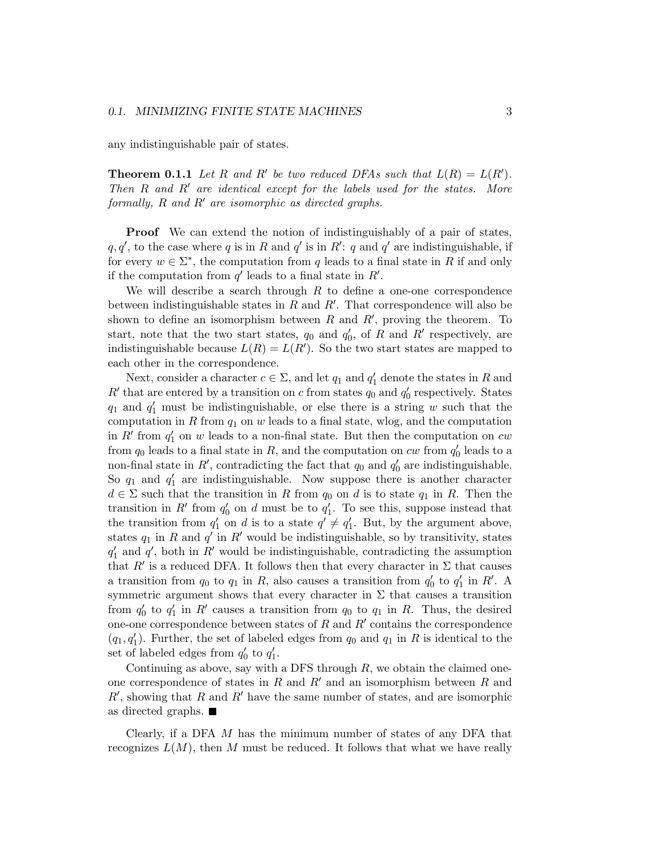any indistinguishable pair of states.

**Theorem 0.1.1** Let R and R' be two reduced DFAs such that  $L(R) = L(R')$ . Then  $R$  and  $R'$  are identical except for the labels used for the states. More formally,  $R$  and  $R'$  are isomorphic as directed graphs.

Proof We can extend the notion of indistinguishably of a pair of states,  $q, q'$ , to the case where q is in R and q' is in R': q and q' are indistinguishable, if for every  $w \in \Sigma^*$ , the computation from q leads to a final state in R if and only if the computation from  $q'$  leads to a final state in  $R'$ .

We will describe a search through  $R$  to define a one-one correspondence between indistinguishable states in  $R$  and  $R'$ . That correspondence will also be shown to define an isomorphism between R and  $R'$ , proving the theorem. To start, note that the two start states,  $q_0$  and  $q'_0$ , of R and R' respectively, are indistinguishable because  $L(R) = L(R')$ . So the two start states are mapped to each other in the correspondence.

Next, consider a character  $c \in \Sigma$ , and let  $q_1$  and  $q'_1$  denote the states in R and  $R'$  that are entered by a transition on c from states  $q_0$  and  $q'_0$  respectively. States  $q_1$  and  $q'_1$  must be indistinguishable, or else there is a string w such that the computation in  $R$  from  $q_1$  on  $w$  leads to a final state, wlog, and the computation in  $R'$  from  $q'_1$  on w leads to a non-final state. But then the computation on cw from  $q_0$  leads to a final state in  $R$ , and the computation on  $cw$  from  $q'_0$  leads to a non-final state in  $R'$ , contradicting the fact that  $q_0$  and  $q'_0$  are indistinguishable. So  $q_1$  and  $q'_1$  are indistinguishable. Now suppose there is another character  $d \in \Sigma$  such that the transition in R from  $q_0$  on d is to state  $q_1$  in R. Then the transition in R' from  $q'_0$  on d must be to  $q'_1$ . To see this, suppose instead that the transition from  $q'_1$  on d is to a state  $q' \neq q'_1$ . But, by the argument above, states  $q_1$  in R and  $q'$  in R' would be indistinguishable, so by transitivity, states  $q'_1$  and  $q'$ , both in R' would be indistinguishable, contradicting the assumption that R' is a reduced DFA. It follows then that every character in  $\Sigma$  that causes a transition from  $q_0$  to  $q_1$  in R, also causes a transition from  $q'_0$  to  $q'_1$  in R'. A symmetric argument shows that every character in  $\Sigma$  that causes a transition from  $q'_0$  to  $q'_1$  in R' causes a transition from  $q_0$  to  $q_1$  in R. Thus, the desired one-one correspondence between states of  $R$  and  $R'$  contains the correspondence  $(q_1, q'_1)$ . Further, the set of labeled edges from  $q_0$  and  $q_1$  in R is identical to the set of labeled edges from  $q'_0$  to  $q'_1$ .

Continuing as above, say with a DFS through  $R$ , we obtain the claimed oneone correspondence of states in  $R$  and  $R'$  and an isomorphism between  $R$  and  $R'$ , showing that R and R' have the same number of states, and are isomorphic as directed graphs.

Clearly, if a DFA  $M$  has the minimum number of states of any DFA that recognizes  $L(M)$ , then M must be reduced. It follows that what we have really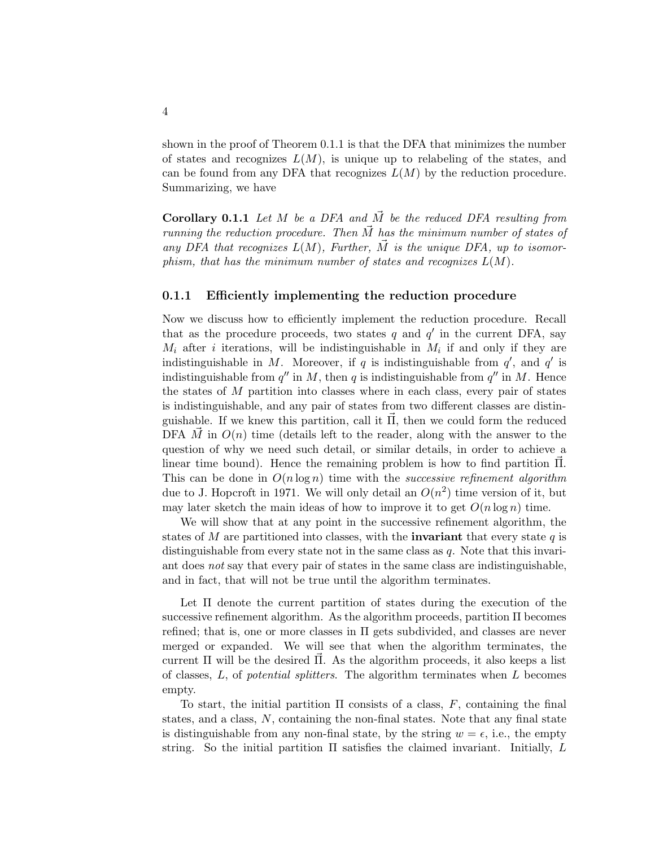shown in the proof of Theorem 0.1.1 is that the DFA that minimizes the number of states and recognizes  $L(M)$ , is unique up to relabeling of the states, and can be found from any DFA that recognizes  $L(M)$  by the reduction procedure. Summarizing, we have

**Corollary 0.1.1** Let M be a DFA and  $\vec{M}$  be the reduced DFA resulting from running the reduction procedure. Then  $\vec{M}$  has the minimum number of states of any DFA that recognizes  $L(M)$ , Further,  $\vec{M}$  is the unique DFA, up to isomorphism, that has the minimum number of states and recognizes  $L(M)$ .

## 0.1.1 Efficiently implementing the reduction procedure

Now we discuss how to efficiently implement the reduction procedure. Recall that as the procedure proceeds, two states q and  $q'$  in the current DFA, say  $M_i$  after i iterations, will be indistinguishable in  $M_i$  if and only if they are indistinguishable in M. Moreover, if q is indistinguishable from  $q'$ , and  $q'$  is indistinguishable from  $q''$  in M, then q is indistinguishable from  $q''$  in M. Hence the states of  $M$  partition into classes where in each class, every pair of states is indistinguishable, and any pair of states from two different classes are distinguishable. If we knew this partition, call it  $\Pi$ , then we could form the reduced DFA  $\vec{M}$  in  $O(n)$  time (details left to the reader, along with the answer to the question of why we need such detail, or similar details, in order to achieve a linear time bound). Hence the remaining problem is how to find partition Π. This can be done in  $O(n \log n)$  time with the *successive refinement algorithm* due to J. Hopcroft in 1971. We will only detail an  $O(n^2)$  time version of it, but may later sketch the main ideas of how to improve it to get  $O(n \log n)$  time.

We will show that at any point in the successive refinement algorithm, the states of M are partitioned into classes, with the **invariant** that every state  $q$  is distinguishable from every state not in the same class as q. Note that this invariant does not say that every pair of states in the same class are indistinguishable, and in fact, that will not be true until the algorithm terminates.

Let Π denote the current partition of states during the execution of the successive refinement algorithm. As the algorithm proceeds, partition Π becomes refined; that is, one or more classes in Π gets subdivided, and classes are never merged or expanded. We will see that when the algorithm terminates, the current  $\Pi$  will be the desired  $\Pi$ . As the algorithm proceeds, it also keeps a list of classes,  $L$ , of *potential splitters*. The algorithm terminates when  $L$  becomes empty.

To start, the initial partition  $\Pi$  consists of a class,  $F$ , containing the final states, and a class, N, containing the non-final states. Note that any final state is distinguishable from any non-final state, by the string  $w = \epsilon$ , i.e., the empty string. So the initial partition  $\Pi$  satisfies the claimed invariant. Initially,  $L$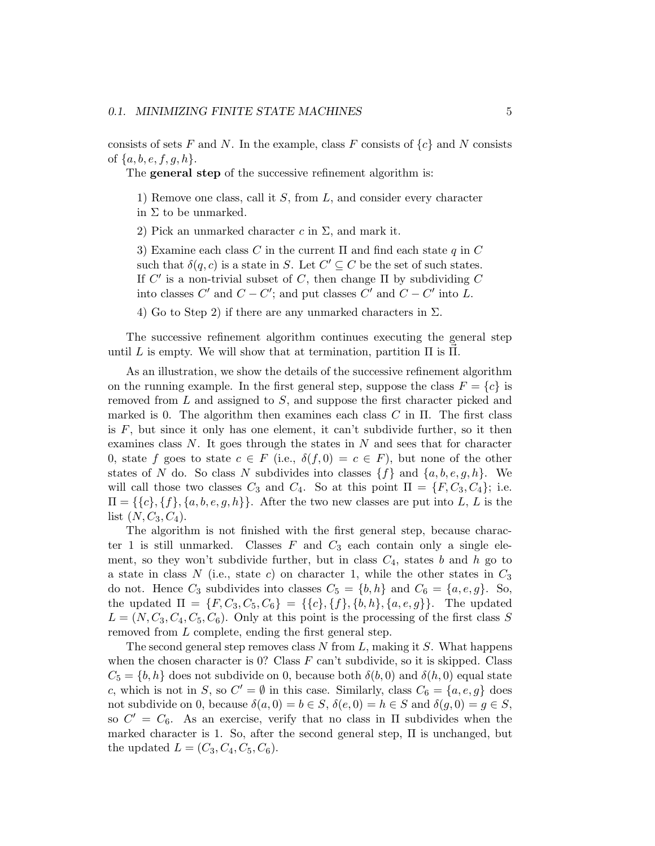consists of sets F and N. In the example, class F consists of  $\{c\}$  and N consists of  $\{a, b, e, f, g, h\}.$ 

The **general step** of the successive refinement algorithm is:

1) Remove one class, call it S, from L, and consider every character in  $\Sigma$  to be unmarked.

2) Pick an unmarked character c in  $\Sigma$ , and mark it.

3) Examine each class C in the current  $\Pi$  and find each state q in C such that  $\delta(q, c)$  is a state in S. Let  $C' \subseteq C$  be the set of such states. If  $C'$  is a non-trivial subset of C, then change  $\Pi$  by subdividing C into classes  $C'$  and  $C - C'$ ; and put classes  $C'$  and  $C - C'$  into L.

4) Go to Step 2) if there are any unmarked characters in  $\Sigma$ .

The successive refinement algorithm continues executing the general step until L is empty. We will show that at termination, partition  $\Pi$  is  $\Pi$ .

As an illustration, we show the details of the successive refinement algorithm on the running example. In the first general step, suppose the class  $F = \{c\}$  is removed from L and assigned to S, and suppose the first character picked and marked is 0. The algorithm then examines each class  $C$  in  $\Pi$ . The first class is  $F$ , but since it only has one element, it can't subdivide further, so it then examines class N. It goes through the states in N and sees that for character 0, state f goes to state  $c \in F$  (i.e.,  $\delta(f, 0) = c \in F$ ), but none of the other states of N do. So class N subdivides into classes  $\{f\}$  and  $\{a, b, e, g, h\}$ . We will call those two classes  $C_3$  and  $C_4$ . So at this point  $\Pi = \{F, C_3, C_4\}$ ; i.e.  $\Pi = \{\{c\}, \{f\}, \{a, b, e, g, h\}\}.$  After the two new classes are put into L, L is the list  $(N, C_3, C_4)$ .

The algorithm is not finished with the first general step, because character 1 is still unmarked. Classes  $F$  and  $C_3$  each contain only a single element, so they won't subdivide further, but in class  $C_4$ , states b and h go to a state in class N (i.e., state c) on character 1, while the other states in  $C_3$ do not. Hence  $C_3$  subdivides into classes  $C_5 = \{b, h\}$  and  $C_6 = \{a, e, g\}$ . So, the updated  $\Pi = \{F, C_3, C_5, C_6\} = \{\{c\}, \{f\}, \{b, h\}, \{a, e, g\}\}.$  The updated  $L = (N, C_3, C_4, C_5, C_6)$ . Only at this point is the processing of the first class S removed from L complete, ending the first general step.

The second general step removes class  $N$  from  $L$ , making it  $S$ . What happens when the chosen character is 0? Class  $F$  can't subdivide, so it is skipped. Class  $C_5 = \{b, h\}$  does not subdivide on 0, because both  $\delta(b, 0)$  and  $\delta(h, 0)$  equal state c, which is not in S, so  $C' = \emptyset$  in this case. Similarly, class  $C_6 = \{a, e, g\}$  does not subdivide on 0, because  $\delta(a, 0) = b \in S$ ,  $\delta(e, 0) = h \in S$  and  $\delta(g, 0) = g \in S$ , so  $C' = C_6$ . As an exercise, verify that no class in  $\Pi$  subdivides when the marked character is 1. So, after the second general step, Π is unchanged, but the updated  $L = (C_3, C_4, C_5, C_6)$ .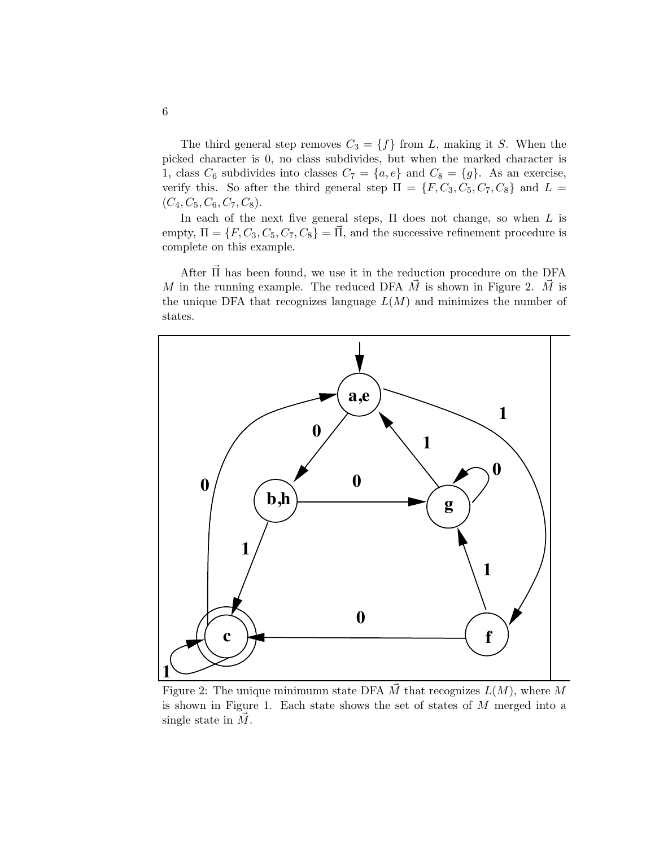The third general step removes  $C_3 = \{f\}$  from L, making it S. When the picked character is 0, no class subdivides, but when the marked character is 1, class  $C_6$  subdivides into classes  $C_7 = \{a, e\}$  and  $C_8 = \{g\}$ . As an exercise, verify this. So after the third general step  $\Pi = \{F, C_3, C_5, C_7, C_8\}$  and  $L =$  $(C_4, C_5, C_6, C_7, C_8).$ 

In each of the next five general steps,  $\Pi$  does not change, so when  $L$  is empty,  $\Pi = \{F, C_3, C_5, C_7, C_8\} = \Pi$ , and the successive refinement procedure is complete on this example.

After  $\Pi$  has been found, we use it in the reduction procedure on the DFA M in the running example. The reduced DFA  $\vec{M}$  is shown in Figure 2.  $\vec{M}$  is the unique DFA that recognizes language  $L(M)$  and minimizes the number of states.



Figure 2: The unique minimumn state DFA  $\vec{M}$  that recognizes  $L(M)$ , where M is shown in Figure 1. Each state shows the set of states of  $M$  merged into a single state in  $\dot{M}$ .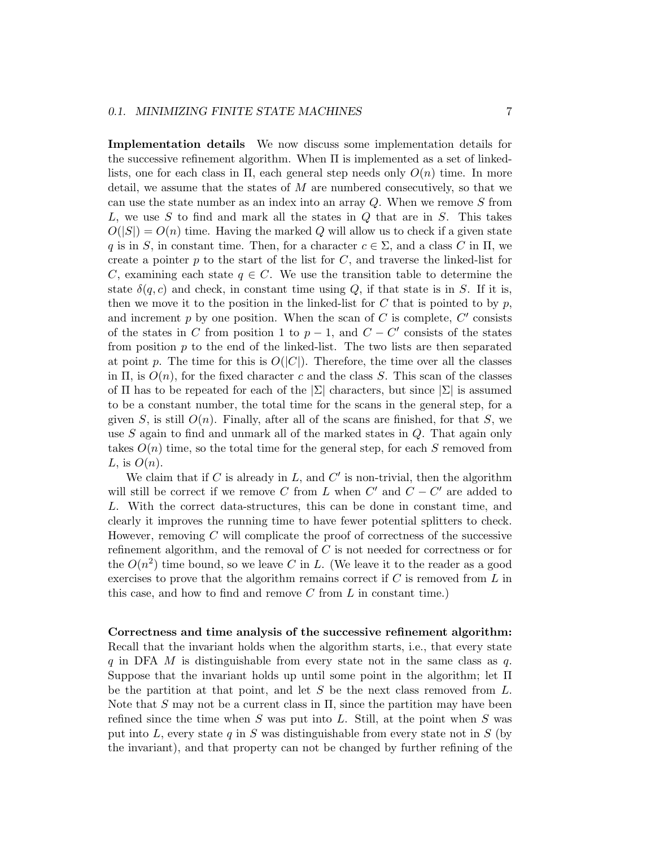## 0.1. MINIMIZING FINITE STATE MACHINES 7

Implementation details We now discuss some implementation details for the successive refinement algorithm. When  $\Pi$  is implemented as a set of linkedlists, one for each class in  $\Pi$ , each general step needs only  $O(n)$  time. In more detail, we assume that the states of  $M$  are numbered consecutively, so that we can use the state number as an index into an array Q. When we remove S from  $L$ , we use S to find and mark all the states in Q that are in S. This takes  $O(|S|) = O(n)$  time. Having the marked Q will allow us to check if a given state q is in S, in constant time. Then, for a character  $c \in \Sigma$ , and a class C in  $\Pi$ , we create a pointer  $p$  to the start of the list for  $C$ , and traverse the linked-list for C, examining each state  $q \in C$ . We use the transition table to determine the state  $\delta(q, c)$  and check, in constant time using Q, if that state is in S. If it is, then we move it to the position in the linked-list for C that is pointed to by  $p$ , and increment  $p$  by one position. When the scan of  $C$  is complete,  $C'$  consists of the states in C from position 1 to  $p-1$ , and  $C - C'$  consists of the states from position  $p$  to the end of the linked-list. The two lists are then separated at point p. The time for this is  $O(|C|)$ . Therefore, the time over all the classes in  $\Pi$ , is  $O(n)$ , for the fixed character c and the class S. This scan of the classes of  $\Pi$  has to be repeated for each of the  $|\Sigma|$  characters, but since  $|\Sigma|$  is assumed to be a constant number, the total time for the scans in the general step, for a given S, is still  $O(n)$ . Finally, after all of the scans are finished, for that S, we use  $S$  again to find and unmark all of the marked states in  $Q$ . That again only takes  $O(n)$  time, so the total time for the general step, for each S removed from L, is  $O(n)$ .

We claim that if C is already in  $L$ , and  $C'$  is non-trivial, then the algorithm will still be correct if we remove C from L when  $C'$  and  $C - C'$  are added to L. With the correct data-structures, this can be done in constant time, and clearly it improves the running time to have fewer potential splitters to check. However, removing C will complicate the proof of correctness of the successive refinement algorithm, and the removal of C is not needed for correctness or for the  $O(n^2)$  time bound, so we leave C in L. (We leave it to the reader as a good exercises to prove that the algorithm remains correct if  $C$  is removed from  $L$  in this case, and how to find and remove  $C$  from  $L$  in constant time.)

## Correctness and time analysis of the successive refinement algorithm: Recall that the invariant holds when the algorithm starts, i.e., that every state q in DFA M is distinguishable from every state not in the same class as  $q$ . Suppose that the invariant holds up until some point in the algorithm; let Π be the partition at that point, and let  $S$  be the next class removed from  $L$ . Note that S may not be a current class in  $\Pi$ , since the partition may have been refined since the time when S was put into L. Still, at the point when S was put into L, every state q in S was distinguishable from every state not in S (by the invariant), and that property can not be changed by further refining of the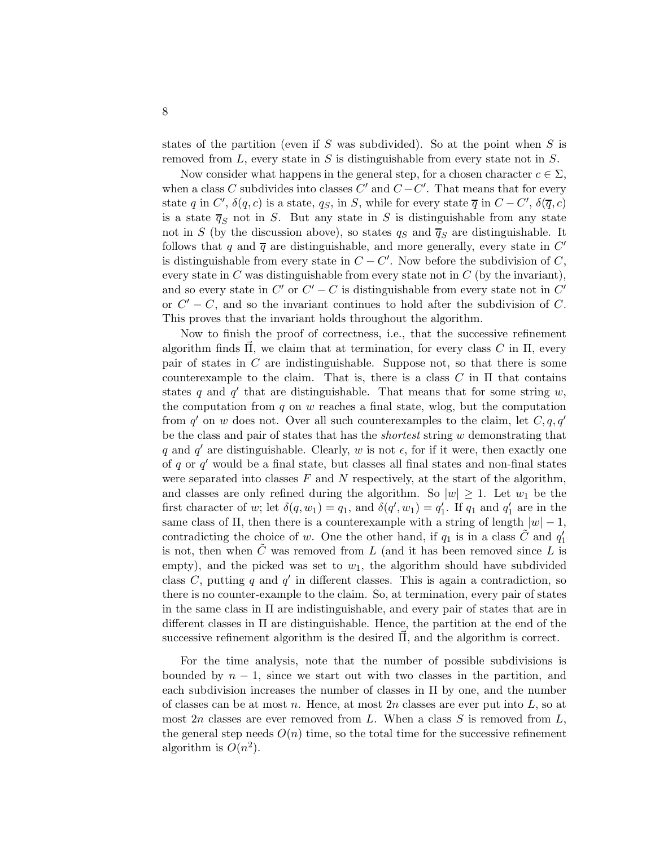states of the partition (even if S was subdivided). So at the point when  $S$  is removed from  $L$ , every state in  $S$  is distinguishable from every state not in  $S$ .

Now consider what happens in the general step, for a chosen character  $c \in \Sigma$ , when a class C subdivides into classes C' and  $C - C'$ . That means that for every state q in C',  $\delta(q, c)$  is a state, q<sub>S</sub>, in S, while for every state  $\overline{q}$  in  $C - C'$ ,  $\delta(\overline{q}, c)$ is a state  $\overline{q}_S$  not in S. But any state in S is distinguishable from any state not in S (by the discussion above), so states  $q_S$  and  $\overline{q}_S$  are distinguishable. It follows that q and  $\overline{q}$  are distinguishable, and more generally, every state in C' is distinguishable from every state in  $C - C'$ . Now before the subdivision of  $C$ , every state in  $C$  was distinguishable from every state not in  $C$  (by the invariant), and so every state in  $C'$  or  $C' - C$  is distinguishable from every state not in  $C'$ or  $C' - C$ , and so the invariant continues to hold after the subdivision of C. This proves that the invariant holds throughout the algorithm.

Now to finish the proof of correctness, i.e., that the successive refinement algorithm finds  $\Pi$ , we claim that at termination, for every class C in  $\Pi$ , every pair of states in C are indistinguishable. Suppose not, so that there is some counterexample to the claim. That is, there is a class C in  $\Pi$  that contains states q and  $q'$  that are distinguishable. That means that for some string w, the computation from  $q$  on  $w$  reaches a final state, wlog, but the computation from  $q'$  on w does not. Over all such counterexamples to the claim, let  $C, q, q'$ be the class and pair of states that has the *shortest* string  $w$  demonstrating that q and q' are distinguishable. Clearly, w is not  $\epsilon$ , for if it were, then exactly one of  $q$  or  $q'$  would be a final state, but classes all final states and non-final states were separated into classes  $F$  and  $N$  respectively, at the start of the algorithm, and classes are only refined during the algorithm. So  $|w| \geq 1$ . Let  $w_1$  be the first character of w; let  $\delta(q, w_1) = q_1$ , and  $\delta(q', w_1) = q'_1$ . If  $q_1$  and  $q'_1$  are in the same class of  $\Pi$ , then there is a counterexample with a string of length  $|w| - 1$ , contradicting the choice of w. One the other hand, if  $q_1$  is in a class  $\tilde{C}$  and  $q_1'$ is not, then when  $\tilde{C}$  was removed from L (and it has been removed since L is empty), and the picked was set to  $w_1$ , the algorithm should have subdivided class  $C$ , putting  $q$  and  $q'$  in different classes. This is again a contradiction, so there is no counter-example to the claim. So, at termination, every pair of states in the same class in  $\Pi$  are indistinguishable, and every pair of states that are in different classes in  $\Pi$  are distinguishable. Hence, the partition at the end of the successive refinement algorithm is the desired  $\Pi$ , and the algorithm is correct.

For the time analysis, note that the number of possible subdivisions is bounded by  $n-1$ , since we start out with two classes in the partition, and each subdivision increases the number of classes in  $\Pi$  by one, and the number of classes can be at most n. Hence, at most  $2n$  classes are ever put into  $L$ , so at most  $2n$  classes are ever removed from L. When a class S is removed from L, the general step needs  $O(n)$  time, so the total time for the successive refinement algorithm is  $O(n^2)$ .